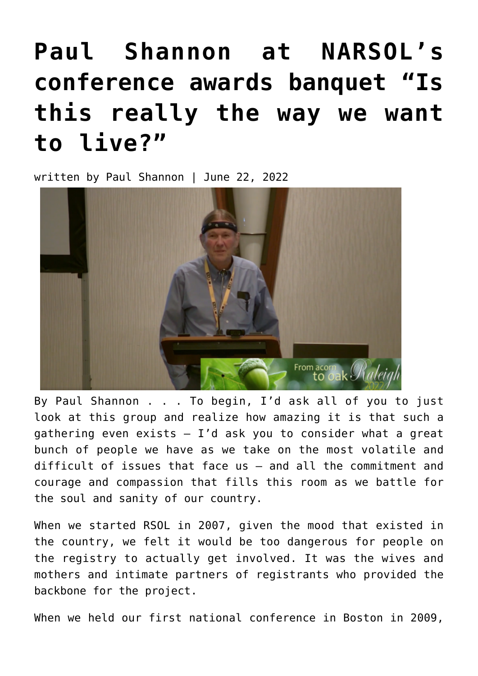## **[Paul Shannon at NARSOL's](https://narsol.org/2022/06/paul-shannon-at-narsols-conference-awards-banquet-is-this-really-the-way-we-want-to-live/) [conference awards banquet "Is](https://narsol.org/2022/06/paul-shannon-at-narsols-conference-awards-banquet-is-this-really-the-way-we-want-to-live/) [this really the way we want](https://narsol.org/2022/06/paul-shannon-at-narsols-conference-awards-banquet-is-this-really-the-way-we-want-to-live/) [to live?"](https://narsol.org/2022/06/paul-shannon-at-narsols-conference-awards-banquet-is-this-really-the-way-we-want-to-live/)**

written by Paul Shannon | June 22, 2022



By Paul Shannon . . . To begin, I'd ask all of you to just look at this group and realize how amazing it is that such a gathering even exists  $-$  I'd ask you to consider what a great bunch of people we have as we take on the most volatile and difficult of issues that face us — and all the commitment and courage and compassion that fills this room as we battle for the soul and sanity of our country.

When we started RSOL in 2007, given the mood that existed in the country, we felt it would be too dangerous for people on the registry to actually get involved. It was the wives and mothers and intimate partners of registrants who provided the backbone for the project.

When we held our first national conference in Boston in 2009,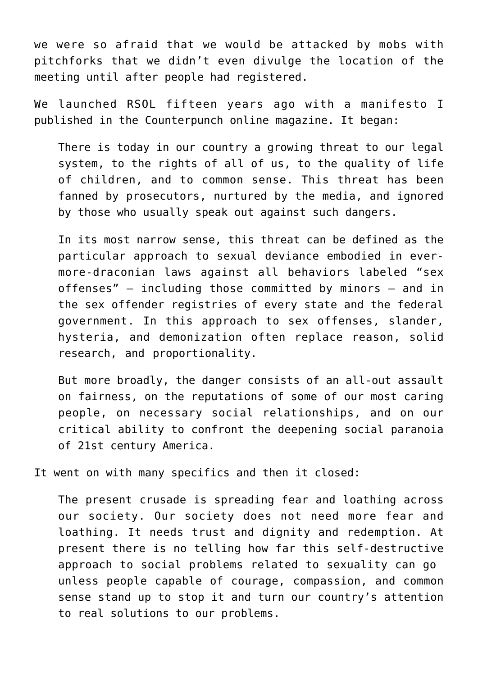we were so afraid that we would be attacked by mobs with pitchforks that we didn't even divulge the location of the meeting until after people had registered.

We launched RSOL fifteen years ago with a manifesto I published in the Counterpunch online magazine. It began:

There is today in our country a growing threat to our legal system, to the rights of all of us, to the quality of life of children, and to common sense. This threat has been fanned by prosecutors, nurtured by the media, and ignored by those who usually speak out against such dangers.

In its most narrow sense, this threat can be defined as the particular approach to sexual deviance embodied in evermore-draconian laws against all behaviors labeled "sex offenses" — including those committed by minors — and in the sex offender registries of every state and the federal government. In this approach to sex offenses, slander, hysteria, and demonization often replace reason, solid research, and proportionality.

But more broadly, the danger consists of an all-out assault on fairness, on the reputations of some of our most caring people, on necessary social relationships, and on our critical ability to confront the deepening social paranoia of 21st century America.

It went on with many specifics and then it closed:

The present crusade is spreading fear and loathing across our society. Our society does not need more fear and loathing. It needs trust and dignity and redemption. At present there is no telling how far this self-destructive approach to social problems related to sexuality can go unless people capable of courage, compassion, and common sense stand up to stop it and turn our country's attention to real solutions to our problems.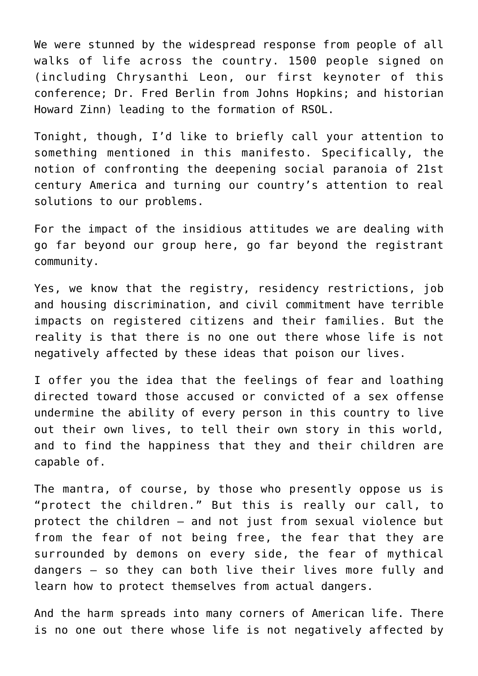We were stunned by the widespread response from people of all walks of life across the country. 1500 people signed on (including Chrysanthi Leon, our first keynoter of this conference; Dr. Fred Berlin from Johns Hopkins; and historian Howard Zinn) leading to the formation of RSOL.

Tonight, though, I'd like to briefly call your attention to something mentioned in this manifesto. Specifically, the notion of confronting the deepening social paranoia of 21st century America and turning our country's attention to real solutions to our problems.

For the impact of the insidious attitudes we are dealing with go far beyond our group here, go far beyond the registrant community.

Yes, we know that the registry, residency restrictions, job and housing discrimination, and civil commitment have terrible impacts on registered citizens and their families. But the reality is that there is no one out there whose life is not negatively affected by these ideas that poison our lives.

I offer you the idea that the feelings of fear and loathing directed toward those accused or convicted of a sex offense undermine the ability of every person in this country to live out their own lives, to tell their own story in this world, and to find the happiness that they and their children are capable of.

The mantra, of course, by those who presently oppose us is "protect the children." But this is really our call, to protect the children — and not just from sexual violence but from the fear of not being free, the fear that they are surrounded by demons on every side, the fear of mythical dangers — so they can both live their lives more fully and learn how to protect themselves from actual dangers.

And the harm spreads into many corners of American life. There is no one out there whose life is not negatively affected by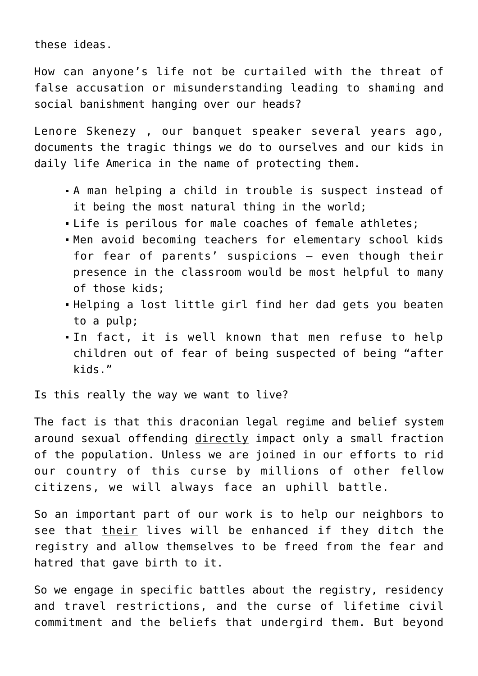these ideas.

How can anyone's life not be curtailed with the threat of false accusation or misunderstanding leading to shaming and social banishment hanging over our heads?

Lenore Skenezy , our banquet speaker several years ago, documents the tragic things we do to ourselves and our kids in daily life America in the name of protecting them.

- A man helping a child in trouble is suspect instead of it being the most natural thing in the world;
- Life is perilous for male coaches of female athletes;
- Men avoid becoming teachers for elementary school kids for fear of parents' suspicions — even though their presence in the classroom would be most helpful to many of those kids;
- Helping a lost little girl find her dad gets you beaten to a pulp;
- In fact, it is well known that men refuse to help children out of fear of being suspected of being "after kids."

Is this really the way we want to live?

The fact is that this draconian legal regime and belief system around sexual offending directly impact only a small fraction of the population. Unless we are joined in our efforts to rid our country of this curse by millions of other fellow citizens, we will always face an uphill battle.

So an important part of our work is to help our neighbors to see that their lives will be enhanced if they ditch the registry and allow themselves to be freed from the fear and hatred that gave birth to it.

So we engage in specific battles about the registry, residency and travel restrictions, and the curse of lifetime civil commitment and the beliefs that undergird them. But beyond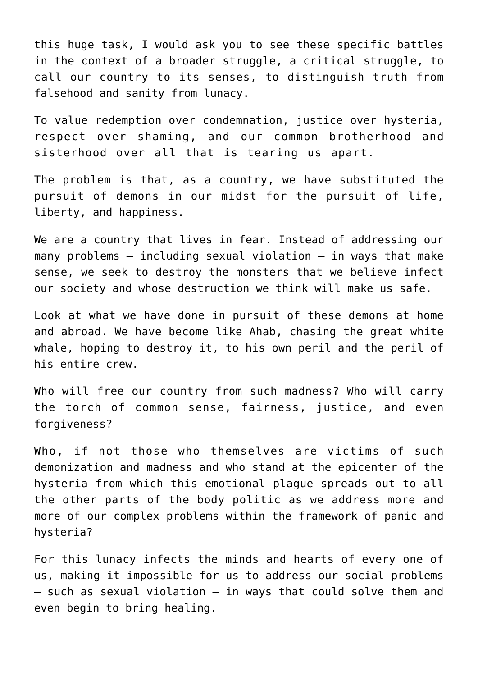this huge task, I would ask you to see these specific battles in the context of a broader struggle, a critical struggle, to call our country to its senses, to distinguish truth from falsehood and sanity from lunacy.

To value redemption over condemnation, justice over hysteria, respect over shaming, and our common brotherhood and sisterhood over all that is tearing us apart.

The problem is that, as a country, we have substituted the pursuit of demons in our midst for the pursuit of life, liberty, and happiness.

We are a country that lives in fear. Instead of addressing our many problems  $-$  including sexual violation  $-$  in ways that make sense, we seek to destroy the monsters that we believe infect our society and whose destruction we think will make us safe.

Look at what we have done in pursuit of these demons at home and abroad. We have become like Ahab, chasing the great white whale, hoping to destroy it, to his own peril and the peril of his entire crew.

Who will free our country from such madness? Who will carry the torch of common sense, fairness, justice, and even forgiveness?

Who, if not those who themselves are victims of such demonization and madness and who stand at the epicenter of the hysteria from which this emotional plague spreads out to all the other parts of the body politic as we address more and more of our complex problems within the framework of panic and hysteria?

For this lunacy infects the minds and hearts of every one of us, making it impossible for us to address our social problems — such as sexual violation — in ways that could solve them and even begin to bring healing.